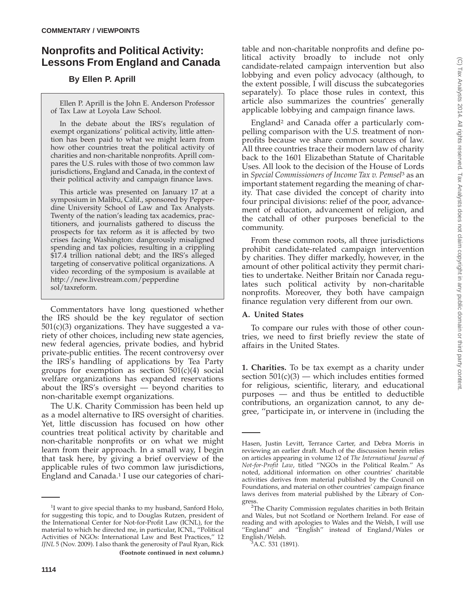# **Nonprofits and Political Activity: Lessons From England and Canada**

## **By Ellen P. Aprill**

Ellen P. Aprill is the John E. Anderson Professor of Tax Law at Loyola Law School.

In the debate about the IRS's regulation of exempt organizations' political activity, little attention has been paid to what we might learn from how other countries treat the political activity of charities and non-charitable nonprofits. Aprill compares the U.S. rules with those of two common law jurisdictions, England and Canada, in the context of their political activity and campaign finance laws.

This article was presented on January 17 at a symposium in Malibu, Calif., sponsored by Pepperdine University School of Law and Tax Analysts. Twenty of the nation's leading tax academics, practitioners, and journalists gathered to discuss the prospects for tax reform as it is affected by two crises facing Washington: dangerously misaligned spending and tax policies, resulting in a crippling \$17.4 trillion national debt; and the IRS's alleged targeting of conservative political organizations. A video recording of the symposium is available at http://new.livestream.com/pepperdine sol/taxreform.

Commentators have long questioned whether the IRS should be the key regulator of section 501(c)(3) organizations. They have suggested a variety of other choices, including new state agencies, new federal agencies, private bodies, and hybrid private-public entities. The recent controversy over the IRS's handling of applications by Tea Party groups for exemption as section  $501(c)(4)$  social welfare organizations has expanded reservations about the  $\text{IRS's}\>$  oversight — beyond charities to non-charitable exempt organizations.

The U.K. Charity Commission has been held up as a model alternative to IRS oversight of charities. Yet, little discussion has focused on how other countries treat political activity by charitable and non-charitable nonprofits or on what we might learn from their approach. In a small way, I begin that task here, by giving a brief overview of the applicable rules of two common law jurisdictions, England and Canada.1 I use our categories of charitable and non-charitable nonprofits and define political activity broadly to include not only candidate-related campaign intervention but also lobbying and even policy advocacy (although, to the extent possible, I will discuss the subcategories separately). To place those rules in context, this article also summarizes the countries' generally applicable lobbying and campaign finance laws.

England2 and Canada offer a particularly compelling comparison with the U.S. treatment of nonprofits because we share common sources of law. All three countries trace their modern law of charity back to the 1601 Elizabethan Statute of Charitable Uses. All look to the decision of the House of Lords in *Special Commissioners of Income Tax v. Pemsel*<sup>3</sup> as an important statement regarding the meaning of charity. That case divided the concept of charity into four principal divisions: relief of the poor, advancement of education, advancement of religion, and the catchall of other purposes beneficial to the community.

From these common roots, all three jurisdictions prohibit candidate-related campaign intervention by charities. They differ markedly, however, in the amount of other political activity they permit charities to undertake. Neither Britain nor Canada regulates such political activity by non-charitable nonprofits. Moreover, they both have campaign finance regulation very different from our own.

## **A. United States**

To compare our rules with those of other countries, we need to first briefly review the state of affairs in the United States.

**1. Charities.** To be tax exempt as a charity under section  $501(c)(3)$  — which includes entities formed for religious, scientific, literary, and educational purposes — and thus be entitled to deductible contributions, an organization cannot, to any degree, ''participate in, or intervene in (including the

<sup>&</sup>lt;sup>1</sup>I want to give special thanks to my husband, Sanford Holo, for suggesting this topic, and to Douglas Rutzen, president of the International Center for Not-for-Profit Law (ICNL), for the material to which he directed me, in particular, ICNL, ''Political Activities of NGOs: International Law and Best Practices,'' 12 *IJNL* 5 (Nov. 2009). I also thank the generosity of Paul Ryan, Rick **(Footnote continued in next column.)**

Hasen, Justin Levitt, Terrance Carter, and Debra Morris in reviewing an earlier draft. Much of the discussion herein relies on articles appearing in volume 12 of *The International Journal of Not-for-Profit Law*, titled ''NGOs in the Political Realm.'' As noted, additional information on other countries' charitable activities derives from material published by the Council on Foundations, and material on other countries' campaign finance laws derives from material published by the Library of Congress

<sup>&</sup>lt;sup>2</sup>The Charity Commission regulates charities in both Britain and Wales, but not Scotland or Northern Ireland. For ease of reading and with apologies to Wales and the Welsh, I will use ''England'' and ''English'' instead of England/Wales or English/Welsh. <sup>3</sup>

 ${}^3$ A.C. 531 (1891).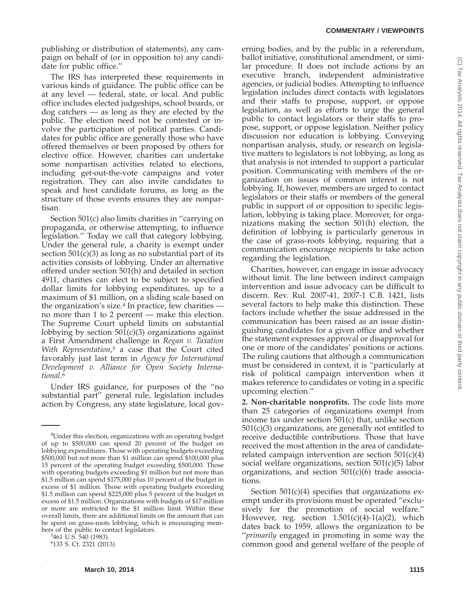publishing or distribution of statements), any campaign on behalf of (or in opposition to) any candidate for public office.''

The IRS has interpreted these requirements in various kinds of guidance. The public office can be at any level — federal, state, or local. And public office includes elected judgeships, school boards, or dog catchers — as long as they are elected by the public. The election need not be contested or involve the participation of political parties. Candidates for public office are generally those who have offered themselves or been proposed by others for elective office. However, charities can undertake some nonpartisan activities related to elections, including get-out-the-vote campaigns and voter registration. They can also invite candidates to speak and host candidate forums, as long as the structure of those events ensures they are nonpartisan.

Section 501(c) also limits charities in ''carrying on propaganda, or otherwise attempting, to influence legislation.'' Today we call that category lobbying. Under the general rule, a charity is exempt under section 501(c)(3) as long as no substantial part of its activities consists of lobbying. Under an alternative offered under section 501(h) and detailed in section 4911, charities can elect to be subject to specified dollar limits for lobbying expenditures, up to a maximum of \$1 million, on a sliding scale based on the organization's size. $4$  In practice, few charities no more than 1 to 2 percent — make this election. The Supreme Court upheld limits on substantial lobbying by section 501(c)(3) organizations against a First Amendment challenge in *Regan v. Taxation With Representation*, <sup>5</sup> a case that the Court cited favorably just last term in *Agency for International Development v. Alliance for Open Society International*. 6

Under IRS guidance, for purposes of the ''no substantial part'' general rule, legislation includes action by Congress, any state legislature, local gov-

bers of the public to contact legislators. <sup>5</sup> 461 U.S. 540 (1983).

erning bodies, and by the public in a referendum, ballot initiative, constitutional amendment, or similar procedure. It does not include actions by an executive branch, independent administrative agencies, or judicial bodies. Attempting to influence legislation includes direct contacts with legislators and their staffs to propose, support, or oppose legislation, as well as efforts to urge the general public to contact legislators or their staffs to propose, support, or oppose legislation. Neither policy discussion nor education is lobbying. Conveying nonpartisan analysis, study, or research on legislative matters to legislators is not lobbying, as long as that analysis is not intended to support a particular position. Communicating with members of the organization on issues of common interest is not lobbying. If, however, members are urged to contact legislators or their staffs or members of the general public in support of or opposition to specific legislation, lobbying is taking place. Moreover, for organizations making the section 501(h) election, the definition of lobbying is particularly generous in the case of grass-roots lobbying, requiring that a communication encourage recipients to take action regarding the legislation.

Charities, however, can engage in issue advocacy without limit. The line between indirect campaign intervention and issue advocacy can be difficult to discern. Rev. Rul. 2007-41, 2007-1 C.B. 1421, lists several factors to help make this distinction. These factors include whether the issue addressed in the communication has been raised as an issue distinguishing candidates for a given office and whether the statement expresses approval or disapproval for one or more of the candidates' positions or actions. The ruling cautions that although a communication must be considered in context, it is ''particularly at risk of political campaign intervention when it makes reference to candidates or voting in a specific upcoming election.''

**2. Non-charitable nonprofits.** The code lists more than 25 categories of organizations exempt from income tax under section 501(c) that, unlike section 501(c)(3) organizations, are generally not entitled to receive deductible contributions. Those that have received the most attention in the area of candidaterelated campaign intervention are section  $501(c)(4)$ social welfare organizations, section 501(c)(5) labor organizations, and section  $501(c)(6)$  trade associations.

Section 501(c)(4) specifies that organizations exempt under its provisions must be operated ''exclusively for the promotion of social welfare.'' However, reg. section  $1.501(c)(4)-1(a)(2)$ , which dates back to 1959, allows the organization to be ''*primarily* engaged in promoting in some way the common good and general welfare of the people of

<sup>&</sup>lt;sup>4</sup>Under this election, organizations with an operating budget of up to \$500,000 can spend 20 percent of the budget on lobbying expenditures. Those with operating budgets exceeding \$500,000 but not more than \$1 million can spend \$100,000 plus 15 percent of the operating budget exceeding \$500,000. Those with operating budgets exceeding \$1 million but not more than \$1.5 million can spend \$175,000 plus 10 percent of the budget in excess of \$1 million. Those with operating budgets exceeding \$1.5 million can spend \$225,000 plus 5 percent of the budget in excess of \$1.5 million. Organizations with budgets of \$17 million or more are restricted to the \$1 million limit. Within these overall limits, there are additional limits on the amount that can be spent on grass-roots lobbying, which is encouraging mem-

<sup>6</sup> 133 S. Ct. 2321 (2013).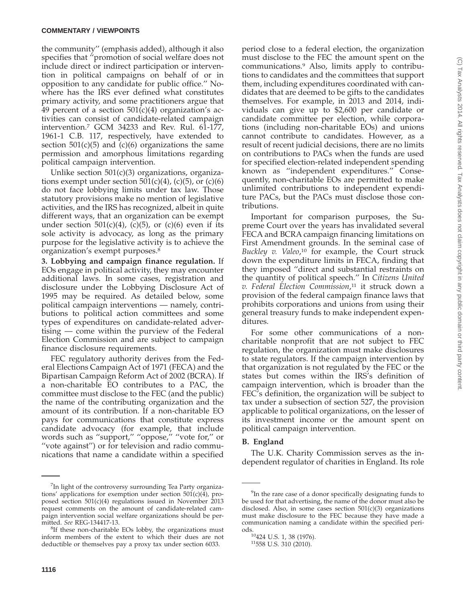the community'' (emphasis added), although it also specifies that ''promotion of social welfare does not include direct or indirect participation or intervention in political campaigns on behalf of or in opposition to any candidate for public office.'' Nowhere has the IRS ever defined what constitutes primary activity, and some practitioners argue that 49 percent of a section  $501(c)(4)$  organization's activities can consist of candidate-related campaign intervention.7 GCM 34233 and Rev. Rul. 61-177, 1961-1 C.B. 117, respectively, have extended to section  $501(c)(5)$  and  $(c)(6)$  organizations the same permission and amorphous limitations regarding political campaign intervention.

Unlike section 501(c)(3) organizations, organizations exempt under section  $501(c)(4)$ , (c)(5), or (c)(6) do not face lobbying limits under tax law. Those statutory provisions make no mention of legislative activities, and the IRS has recognized, albeit in quite different ways, that an organization can be exempt under section  $501(c)(4)$ , (c)(5), or (c)(6) even if its sole activity is advocacy, as long as the primary purpose for the legislative activity is to achieve the organization's exempt purposes.8

**3. Lobbying and campaign finance regulation.** If EOs engage in political activity, they may encounter additional laws. In some cases, registration and disclosure under the Lobbying Disclosure Act of 1995 may be required. As detailed below, some political campaign interventions — namely, contributions to political action committees and some types of expenditures on candidate-related advertising — come within the purview of the Federal Election Commission and are subject to campaign finance disclosure requirements.

FEC regulatory authority derives from the Federal Elections Campaign Act of 1971 (FECA) and the Bipartisan Campaign Reform Act of 2002 (BCRA). If a non-charitable EO contributes to a PAC, the committee must disclose to the FEC (and the public) the name of the contributing organization and the amount of its contribution. If a non-charitable EO pays for communications that constitute express candidate advocacy (for example, that include words such as ''support,'' ''oppose,'' ''vote for,'' or ''vote against'') or for television and radio communications that name a candidate within a specified

period close to a federal election, the organization must disclose to the FEC the amount spent on the communications.9 Also, limits apply to contributions to candidates and the committees that support them, including expenditures coordinated with candidates that are deemed to be gifts to the candidates themselves. For example, in 2013 and 2014, individuals can give up to \$2,600 per candidate or candidate committee per election, while corporations (including non-charitable EOs) and unions cannot contribute to candidates. However, as a result of recent judicial decisions, there are no limits on contributions to PACs when the funds are used for specified election-related independent spending known as ''independent expenditures.'' Consequently, non-charitable EOs are permitted to make unlimited contributions to independent expenditure PACs, but the PACs must disclose those con-

Important for comparison purposes, the Supreme Court over the years has invalidated several FECA and BCRA campaign financing limitations on First Amendment grounds. In the seminal case of Buckley v. Valeo,<sup>10</sup> for example, the Court struck down the expenditure limits in FECA, finding that they imposed ''direct and substantial restraints on the quantity of political speech.'' In *Citizens United v. Federal Election Commission*, <sup>11</sup> it struck down a provision of the federal campaign finance laws that prohibits corporations and unions from using their general treasury funds to make independent expenditures.

For some other communications of a noncharitable nonprofit that are not subject to FEC regulation, the organization must make disclosures to state regulators. If the campaign intervention by that organization is not regulated by the FEC or the states but comes within the IRS's definition of campaign intervention, which is broader than the FEC's definition, the organization will be subject to tax under a subsection of section 527, the provision applicable to political organizations, on the lesser of its investment income or the amount spent on political campaign intervention.

## **B. England**

tributions.

The U.K. Charity Commission serves as the independent regulator of charities in England. Its role

<sup>&</sup>lt;sup>7</sup>In light of the controversy surrounding Tea Party organizations' applications for exemption under section  $501(c)(4)$ , proposed section 501(c)(4) regulations issued in November 2013 request comments on the amount of candidate-related campaign intervention social welfare organizations should be permitted. *See* REG-134417-13. <sup>8</sup>

 ${}^{8}$ If these non-charitable EOs lobby, the organizations must inform members of the extent to which their dues are not deductible or themselves pay a proxy tax under section 6033.

<sup>&</sup>lt;sup>9</sup>In the rare case of a donor specifically designating funds to be used for that advertising, the name of the donor must also be disclosed. Also, in some cases section  $501(c)(3)$  organizations must make disclosure to the FEC because they have made a communication naming a candidate within the specified peri-

ods.<br><sup>10</sup>424 U.S. 1, 38 (1976).<br><sup>11</sup>558 U.S. 310 (2010).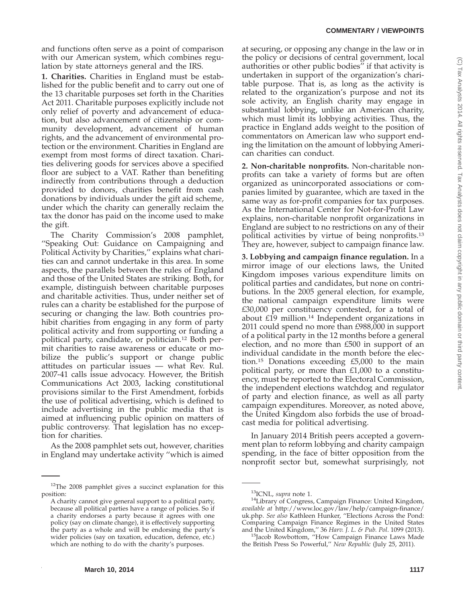## **COMMENTARY / VIEWPOINTS**

and functions often serve as a point of comparison with our American system, which combines regulation by state attorneys general and the IRS.

**1. Charities.** Charities in England must be established for the public benefit and to carry out one of the 13 charitable purposes set forth in the Charities Act 2011. Charitable purposes explicitly include not only relief of poverty and advancement of education, but also advancement of citizenship or community development, advancement of human rights, and the advancement of environmental protection or the environment. Charities in England are exempt from most forms of direct taxation. Charities delivering goods for services above a specified floor are subject to a VAT. Rather than benefiting indirectly from contributions through a deduction provided to donors, charities benefit from cash donations by individuals under the gift aid scheme, under which the charity can generally reclaim the tax the donor has paid on the income used to make the gift.

The Charity Commission's 2008 pamphlet, ''Speaking Out: Guidance on Campaigning and Political Activity by Charities,'' explains what charities can and cannot undertake in this area. In some aspects, the parallels between the rules of England and those of the United States are striking. Both, for example, distinguish between charitable purposes and charitable activities. Thus, under neither set of rules can a charity be established for the purpose of securing or changing the law. Both countries prohibit charities from engaging in any form of party political activity and from supporting or funding a political party, candidate, or politician.12 Both permit charities to raise awareness or educate or mobilize the public's support or change public attitudes on particular issues — what Rev. Rul. 2007-41 calls issue advocacy. However, the British Communications Act 2003, lacking constitutional provisions similar to the First Amendment, forbids the use of political advertising, which is defined to include advertising in the public media that is aimed at influencing public opinion on matters of public controversy. That legislation has no exception for charities.

As the 2008 pamphlet sets out, however, charities in England may undertake activity ''which is aimed

**March 10, 2014 1117** 

at securing, or opposing any change in the law or in the policy or decisions of central government, local authorities or other public bodies'' if that activity is undertaken in support of the organization's charitable purpose. That is, as long as the activity is related to the organization's purpose and not its sole activity, an English charity may engage in substantial lobbying, unlike an American charity, which must limit its lobbying activities. Thus, the practice in England adds weight to the position of commentators on American law who support ending the limitation on the amount of lobbying American charities can conduct.

**2. Non-charitable nonprofits.** Non-charitable nonprofits can take a variety of forms but are often organized as unincorporated associations or companies limited by guarantee, which are taxed in the same way as for-profit companies for tax purposes. As the International Center for Not-for-Profit Law explains, non-charitable nonprofit organizations in England are subject to no restrictions on any of their political activities by virtue of being nonprofits.13 They are, however, subject to campaign finance law.

**3. Lobbying and campaign finance regulation.** In a mirror image of our elections laws, the United Kingdom imposes various expenditure limits on political parties and candidates, but none on contributions. In the 2005 general election, for example, the national campaign expenditure limits were £30,000 per constituency contested, for a total of about  $£19$  million.<sup>14</sup> Independent organizations in 2011 could spend no more than £988,000 in support of a political party in the 12 months before a general election, and no more than £500 in support of an individual candidate in the month before the election.15 Donations exceeding £5,000 to the main political party, or more than £1,000 to a constituency, must be reported to the Electoral Commission, the independent elections watchdog and regulator of party and election finance, as well as all party campaign expenditures. Moreover, as noted above, the United Kingdom also forbids the use of broadcast media for political advertising.

In January 2014 British peers accepted a government plan to reform lobbying and charity campaign spending, in the face of bitter opposition from the nonprofit sector but, somewhat surprisingly, not

<sup>&</sup>lt;sup>12</sup>The 2008 pamphlet gives a succinct explanation for this position:

A charity cannot give general support to a political party, because all political parties have a range of policies. So if a charity endorses a party because it agrees with one policy (say on climate change), it is effectively supporting the party as a whole and will be endorsing the party's wider policies (say on taxation, education, defence, etc.) which are nothing to do with the charity's purposes.

<sup>&</sup>lt;sup>13</sup>ICNL*, supra* note 1.<br><sup>14</sup>Library of Congress, Campaign Finance: United Kingdom, *available at* http://www.loc.gov/law/help/campaign-finance/ uk.php. *See also* Kathleen Hunker, ''Elections Across the Pond: Comparing Campaign Finance Regimes in the United States and the United Kingdom," 36 Harv. J. L. & Pub. Pol. 1099 (2013).

<sup>&</sup>lt;sup>15</sup>Jacob Rowbottom, "How Campaign Finance Laws Made the British Press So Powerful,'' *New Republic* (July 25, 2011).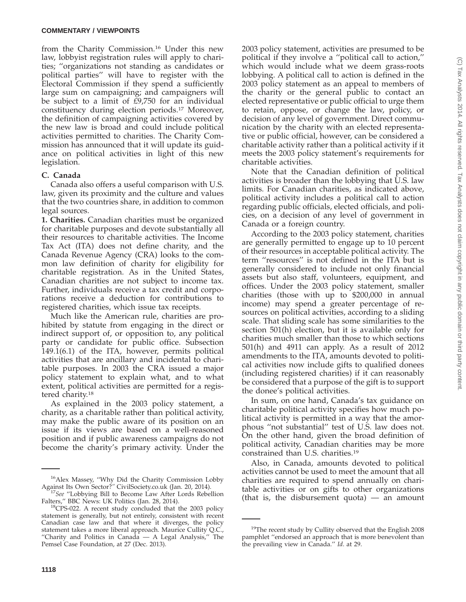#### **COMMENTARY / VIEWPOINTS**

from the Charity Commission.16 Under this new law, lobbyist registration rules will apply to charities; ''organizations not standing as candidates or political parties'' will have to register with the Electoral Commission if they spend a sufficiently large sum on campaigning; and campaigners will be subject to a limit of £9,750 for an individual constituency during election periods.17 Moreover, the definition of campaigning activities covered by the new law is broad and could include political activities permitted to charities. The Charity Commission has announced that it will update its guidance on political activities in light of this new legislation.

### **C. Canada**

Canada also offers a useful comparison with U.S. law, given its proximity and the culture and values that the two countries share, in addition to common legal sources.

**1. Charities.** Canadian charities must be organized for charitable purposes and devote substantially all their resources to charitable activities. The Income Tax Act (ITA) does not define charity, and the Canada Revenue Agency (CRA) looks to the common law definition of charity for eligibility for charitable registration. As in the United States, Canadian charities are not subject to income tax. Further, individuals receive a tax credit and corporations receive a deduction for contributions to registered charities, which issue tax receipts.

Much like the American rule, charities are prohibited by statute from engaging in the direct or indirect support of, or opposition to, any political party or candidate for public office. Subsection 149.1(6.1) of the ITA, however, permits political activities that are ancillary and incidental to charitable purposes. In 2003 the CRA issued a major policy statement to explain what, and to what extent, political activities are permitted for a registered charity.18

As explained in the 2003 policy statement, a charity, as a charitable rather than political activity, may make the public aware of its position on an issue if its views are based on a well-reasoned position and if public awareness campaigns do not become the charity's primary activity. Under the

2003 policy statement, activities are presumed to be political if they involve a ''political call to action,'' which would include what we deem grass-roots lobbying. A political call to action is defined in the 2003 policy statement as an appeal to members of the charity or the general public to contact an elected representative or public official to urge them to retain, oppose, or change the law, policy, or decision of any level of government. Direct communication by the charity with an elected representative or public official, however, can be considered a charitable activity rather than a political activity if it meets the 2003 policy statement's requirements for charitable activities.

Note that the Canadian definition of political activities is broader than the lobbying that U.S. law limits. For Canadian charities, as indicated above, political activity includes a political call to action regarding public officials, elected officials, and policies, on a decision of any level of government in Canada or a foreign country.

According to the 2003 policy statement, charities are generally permitted to engage up to 10 percent of their resources in acceptable political activity. The term ''resources'' is not defined in the ITA but is generally considered to include not only financial assets but also staff, volunteers, equipment, and offices. Under the 2003 policy statement, smaller charities (those with up to \$200,000 in annual income) may spend a greater percentage of resources on political activities, according to a sliding scale. That sliding scale has some similarities to the section 501(h) election, but it is available only for charities much smaller than those to which sections 501(h) and 4911 can apply. As a result of 2012 amendments to the ITA, amounts devoted to political activities now include gifts to qualified donees (including registered charities) if it can reasonably be considered that a purpose of the gift is to support the donee's political activities.

In sum, on one hand, Canada's tax guidance on charitable political activity specifies how much political activity is permitted in a way that the amorphous ''not substantial'' test of U.S. law does not. On the other hand, given the broad definition of political activity, Canadian charities may be more constrained than U.S. charities.19

Also, in Canada, amounts devoted to political activities cannot be used to meet the amount that all charities are required to spend annually on charitable activities or on gifts to other organizations (that is, the disbursement quota) — an amount

<sup>16</sup>Alex Massey, ''Why Did the Charity Commission Lobby

Against Its Own Sector?<sup>'</sup>' CivilSociety.co.uk (Jan. 20, 2014).<br><sup>17</sup>See ''Lobbying Bill to Become Law After Lords Rebellion Falters,'' BBC News: UK Politics (Jan. 28, 2014).

 $^{18}$ CPS-022. A recent study concluded that the 2003 policy statement is generally, but not entirely, consistent with recent Canadian case law and that where it diverges, the policy statement takes a more liberal approach. Maurice Cullity Q.C., ''Charity and Politics in Canada — A Legal Analysis,'' The Pemsel Case Foundation, at 27 (Dec. 2013).

<sup>&</sup>lt;sup>19</sup>The recent study by Cullity observed that the English 2008 pamphlet ''endorsed an approach that is more benevolent than the prevailing view in Canada.'' *Id*. at 29.